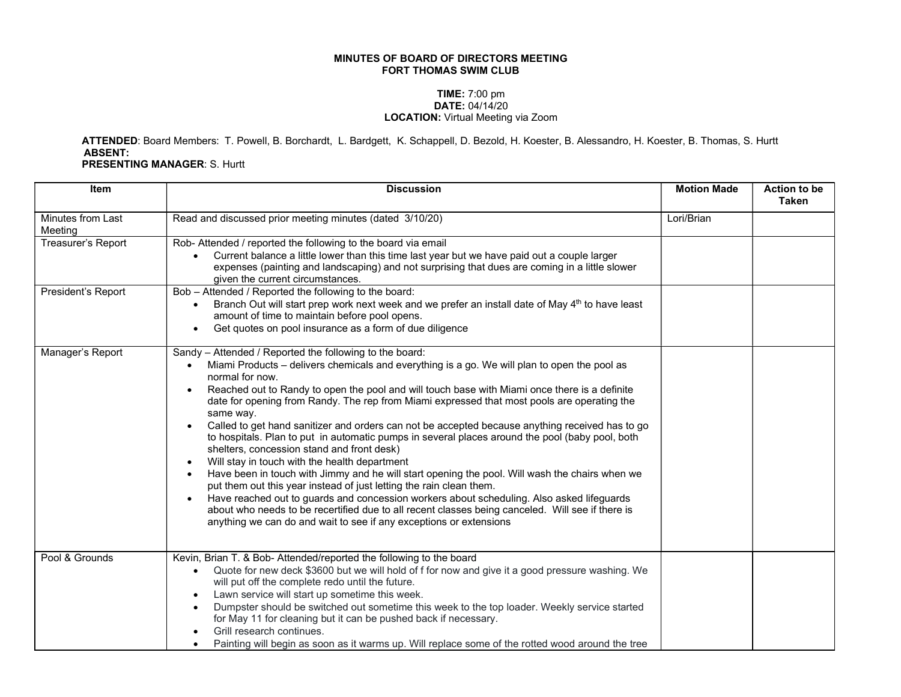## MINUTES OF BOARD OF DIRECTORS MEETING FORT THOMAS SWIM CLUB

## TIME: 7:00 pm DATE: 04/14/20 LOCATION: Virtual Meeting via Zoom

 ATTENDED: Board Members: T. Powell, B. Borchardt, L. Bardgett, K. Schappell, D. Bezold, H. Koester, B. Alessandro, H. Koester, B. Thomas, S. Hurtt ABSENT:

PRESENTING MANAGER: S. Hurtt

| <b>Item</b>                  | <b>Discussion</b>                                                                                                                                                                                                                                                                                                                                                                                                                                                                                                                                                                                                                                                                                                                                                                                                                                                                                                                                                                                                                                                                                                                                                                                             | <b>Motion Made</b> | <b>Action to be</b><br><b>Taken</b> |
|------------------------------|---------------------------------------------------------------------------------------------------------------------------------------------------------------------------------------------------------------------------------------------------------------------------------------------------------------------------------------------------------------------------------------------------------------------------------------------------------------------------------------------------------------------------------------------------------------------------------------------------------------------------------------------------------------------------------------------------------------------------------------------------------------------------------------------------------------------------------------------------------------------------------------------------------------------------------------------------------------------------------------------------------------------------------------------------------------------------------------------------------------------------------------------------------------------------------------------------------------|--------------------|-------------------------------------|
| Minutes from Last<br>Meeting | Read and discussed prior meeting minutes (dated 3/10/20)                                                                                                                                                                                                                                                                                                                                                                                                                                                                                                                                                                                                                                                                                                                                                                                                                                                                                                                                                                                                                                                                                                                                                      | Lori/Brian         |                                     |
| Treasurer's Report           | Rob- Attended / reported the following to the board via email<br>Current balance a little lower than this time last year but we have paid out a couple larger<br>expenses (painting and landscaping) and not surprising that dues are coming in a little slower<br>given the current circumstances.                                                                                                                                                                                                                                                                                                                                                                                                                                                                                                                                                                                                                                                                                                                                                                                                                                                                                                           |                    |                                     |
| President's Report           | Bob - Attended / Reported the following to the board:<br>Branch Out will start prep work next week and we prefer an install date of May 4 <sup>th</sup> to have least<br>amount of time to maintain before pool opens.<br>Get quotes on pool insurance as a form of due diligence                                                                                                                                                                                                                                                                                                                                                                                                                                                                                                                                                                                                                                                                                                                                                                                                                                                                                                                             |                    |                                     |
| Manager's Report             | Sandy - Attended / Reported the following to the board:<br>Miami Products – delivers chemicals and everything is a go. We will plan to open the pool as<br>normal for now.<br>Reached out to Randy to open the pool and will touch base with Miami once there is a definite<br>$\bullet$<br>date for opening from Randy. The rep from Miami expressed that most pools are operating the<br>same way.<br>Called to get hand sanitizer and orders can not be accepted because anything received has to go<br>$\bullet$<br>to hospitals. Plan to put in automatic pumps in several places around the pool (baby pool, both<br>shelters, concession stand and front desk)<br>Will stay in touch with the health department<br>$\bullet$<br>Have been in touch with Jimmy and he will start opening the pool. Will wash the chairs when we<br>$\bullet$<br>put them out this year instead of just letting the rain clean them.<br>Have reached out to guards and concession workers about scheduling. Also asked lifeguards<br>$\bullet$<br>about who needs to be recertified due to all recent classes being canceled. Will see if there is<br>anything we can do and wait to see if any exceptions or extensions |                    |                                     |
| Pool & Grounds               | Kevin, Brian T. & Bob- Attended/reported the following to the board<br>Quote for new deck \$3600 but we will hold of f for now and give it a good pressure washing. We<br>will put off the complete redo until the future.<br>Lawn service will start up sometime this week.<br>Dumpster should be switched out sometime this week to the top loader. Weekly service started<br>for May 11 for cleaning but it can be pushed back if necessary.<br>Grill research continues.<br>Painting will begin as soon as it warms up. Will replace some of the rotted wood around the tree                                                                                                                                                                                                                                                                                                                                                                                                                                                                                                                                                                                                                              |                    |                                     |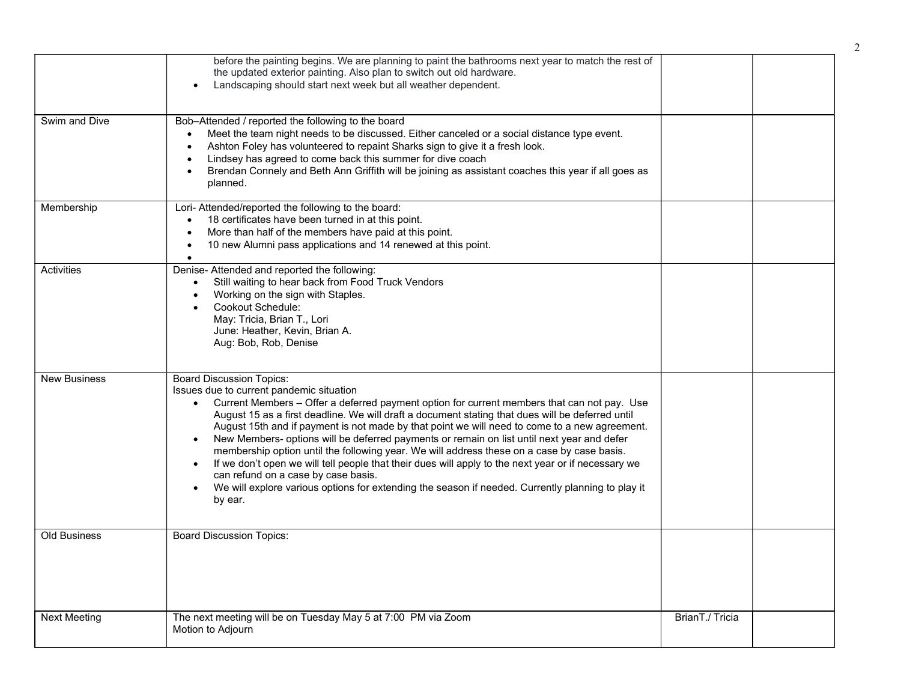|                     | before the painting begins. We are planning to paint the bathrooms next year to match the rest of<br>the updated exterior painting. Also plan to switch out old hardware.<br>Landscaping should start next week but all weather dependent.                                                                                                                                                                                                                                                                                                                                                                                                                                                                                                                                                                                                                          |                 |  |
|---------------------|---------------------------------------------------------------------------------------------------------------------------------------------------------------------------------------------------------------------------------------------------------------------------------------------------------------------------------------------------------------------------------------------------------------------------------------------------------------------------------------------------------------------------------------------------------------------------------------------------------------------------------------------------------------------------------------------------------------------------------------------------------------------------------------------------------------------------------------------------------------------|-----------------|--|
| Swim and Dive       | Bob-Attended / reported the following to the board<br>Meet the team night needs to be discussed. Either canceled or a social distance type event.<br>$\bullet$<br>Ashton Foley has volunteered to repaint Sharks sign to give it a fresh look.<br>$\bullet$<br>Lindsey has agreed to come back this summer for dive coach<br>$\bullet$<br>Brendan Connely and Beth Ann Griffith will be joining as assistant coaches this year if all goes as<br>$\bullet$<br>planned.                                                                                                                                                                                                                                                                                                                                                                                              |                 |  |
| Membership          | Lori- Attended/reported the following to the board:<br>18 certificates have been turned in at this point.<br>$\bullet$<br>More than half of the members have paid at this point.<br>$\bullet$<br>10 new Alumni pass applications and 14 renewed at this point.<br>$\bullet$                                                                                                                                                                                                                                                                                                                                                                                                                                                                                                                                                                                         |                 |  |
| Activities          | Denise- Attended and reported the following:<br>Still waiting to hear back from Food Truck Vendors<br>$\bullet$<br>Working on the sign with Staples.<br>Cookout Schedule:<br>May: Tricia, Brian T., Lori<br>June: Heather, Kevin, Brian A.<br>Aug: Bob, Rob, Denise                                                                                                                                                                                                                                                                                                                                                                                                                                                                                                                                                                                                 |                 |  |
| <b>New Business</b> | <b>Board Discussion Topics:</b><br>Issues due to current pandemic situation<br>Current Members - Offer a deferred payment option for current members that can not pay. Use<br>$\bullet$<br>August 15 as a first deadline. We will draft a document stating that dues will be deferred until<br>August 15th and if payment is not made by that point we will need to come to a new agreement.<br>New Members- options will be deferred payments or remain on list until next year and defer<br>membership option until the following year. We will address these on a case by case basis.<br>If we don't open we will tell people that their dues will apply to the next year or if necessary we<br>$\bullet$<br>can refund on a case by case basis.<br>We will explore various options for extending the season if needed. Currently planning to play it<br>by ear. |                 |  |
| <b>Old Business</b> | <b>Board Discussion Topics:</b>                                                                                                                                                                                                                                                                                                                                                                                                                                                                                                                                                                                                                                                                                                                                                                                                                                     |                 |  |
| <b>Next Meeting</b> | The next meeting will be on Tuesday May 5 at 7:00 PM via Zoom<br>Motion to Adjourn                                                                                                                                                                                                                                                                                                                                                                                                                                                                                                                                                                                                                                                                                                                                                                                  | BrianT./ Tricia |  |